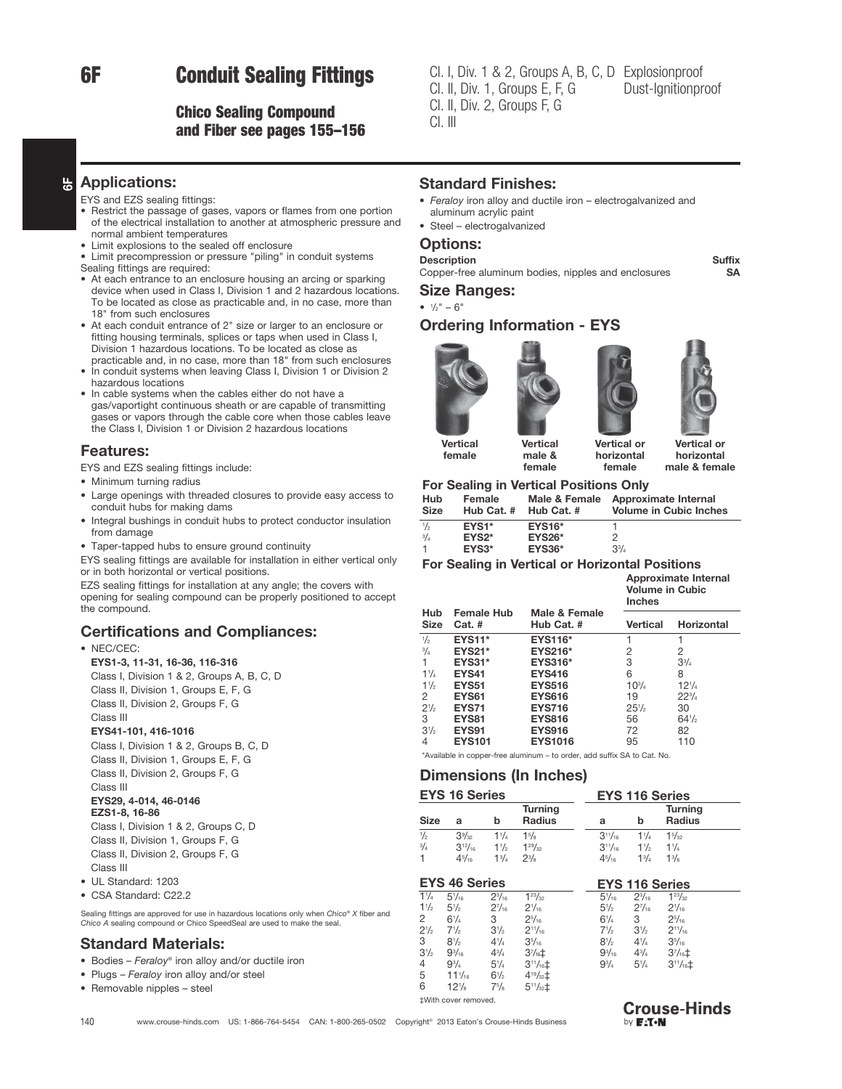# 6F Conduit Sealing Fittings

# Chico Sealing Compound and Fiber see pages 155–156

Cl. I, Div. 1 & 2, Groups A, B, C, D Explosionproof<br>Cl. II, Div. 1, Groups E, F, G Dust-Ignitionpr Cl. II, Div. 2, Groups F, G  $Cl.$  III Dust-Ignitionproof Dust-Ignitionproof

#### $\frac{1}{6}$ Applications:

- EYS and EZS sealing fittings:
- Restrict the passage of gases, vapors or flames from one portion of the electrical installation to another at atmospheric pressure and normal ambient temperatures
- Limit explosions to the sealed off enclosure
- Limit precompression or pressure "piling" in conduit systems
- Sealing fittings are required:
- At each entrance to an enclosure housing an arcing or sparking device when used in Class I, Division 1 and 2 hazardous locations. To be located as close as practicable and, in no case, more than 18" from such enclosures
- At each conduit entrance of 2" size or larger to an enclosure or fitting housing terminals, splices or taps when used in Class I, Division 1 hazardous locations. To be located as close as practicable and, in no case, more than 18" from such enclosures
- In conduit systems when leaving Class I, Division 1 or Division 2 hazardous locations
- In cable systems when the cables either do not have a gas/vaportight continuous sheath or are capable of transmitting gases or vapors through the cable core when those cables leave the Class I, Division 1 or Division 2 hazardous locations

#### Features:

EYS and EZS sealing fittings include:

- Minimum turning radius
- Large openings with threaded closures to provide easy access to conduit hubs for making dams
- Integral bushings in conduit hubs to protect conductor insulation from damage
- Taper-tapped hubs to ensure ground continuity

EYS sealing fittings are available for installation in either vertical only or in both horizontal or vertical positions.

EZS sealing fittings for installation at any angle; the covers with

opening for sealing compound can be properly positioned to accept the compound.

### Certifications and Compliances:

#### • NEC/CEC:

EYS1-3, 11-31, 16-36, 116-316 Class I, Division 1 & 2, Groups A, B, C, D Class II, Division 1, Groups E, F, G

Class II, Division 2, Groups F, G

Class III

#### EYS41-101, 416-1016

Class I, Division 1 & 2, Groups B, C, D Class II, Division 1, Groups E, F, G Class II, Division 2, Groups F, G Class III EYS29, 4-014, 46-0146 EZS1-8, 16-86 Class I, Division 1 & 2, Groups C, D Class II, Division 1, Groups F, G Class II, Division 2, Groups F, G

- Class III
- UL Standard: 1203
- CSA Standard: C22.2

Sealing fittings are approved for use in hazardous locations only when Chico® X fiber and Chico A sealing compound or Chico SpeedSeal are used to make the seal.

# Standard Materials:

- Bodies Feraloy® iron alloy and/or ductile iron
- Plugs Feraloy iron alloy and/or steel
- Removable nipples steel

## Standard Finishes:

- Feralov iron allov and ductile iron electrogalvanized and aluminum acrylic paint
- Steel electrogalvanized

### Options:

#### Description Suffix

Copper-free aluminum bodies, nipples and enclosures SA

Size Ranges:

#### $\bullet$   $\frac{1}{2}$ " – 6"

female

# Ordering Information - EYS





horizontal female

Vertical or horizontal male & female

### female For Sealing in Vertical Positions Only

male &

| Hub            | Female     | Male & Female | Approximate Internal          |
|----------------|------------|---------------|-------------------------------|
| <b>Size</b>    | Hub Cat. # | Hub Cat. #    | <b>Volume in Cubic Inches</b> |
| 1/2            | EYS1*      | <b>EYS16*</b> | 2                             |
| 3/4            | $EYS2*$    | <b>EYS26*</b> |                               |
| $\overline{1}$ | $EYS3*$    | <b>EYS36*</b> | $3^{3}/_{4}$                  |

#### For Sealing in Vertical or Horizontal Positions

|                    |                               |                             | Approximate Internal<br><b>Volume in Cubic</b><br><b>Inches</b> |                   |
|--------------------|-------------------------------|-----------------------------|-----------------------------------------------------------------|-------------------|
| Hub<br><b>Size</b> | <b>Female Hub</b><br>$Cat.$ # | Male & Female<br>Hub Cat. # | Vertical                                                        | <b>Horizontal</b> |
| $\frac{1}{2}$      | <b>EYS11*</b>                 | <b>EYS116*</b>              |                                                                 |                   |
| $^{3}/_{4}$        | <b>EYS21*</b>                 | <b>EYS216*</b>              | 2                                                               | 2                 |
| 1                  | <b>EYS31*</b>                 | <b>EYS316*</b>              | 3                                                               | $3^{3}/_{4}$      |
| 11/4               | <b>EYS41</b>                  | <b>EYS416</b>               | 6                                                               | 8                 |
| $1\frac{1}{2}$     | <b>EYS51</b>                  | <b>EYS516</b>               | $10^{3}/_{4}$                                                   | $12^{1/4}$        |
| 2                  | EYS <sub>61</sub>             | <b>EYS616</b>               | 19                                                              | $22\frac{3}{4}$   |
| $2\frac{1}{2}$     | <b>EYS71</b>                  | <b>EYS716</b>               | 25%                                                             | 30                |
| 3                  | <b>EYS81</b>                  | <b>EYS816</b>               | 56                                                              | 64%               |
| $3\frac{1}{2}$     | <b>EYS91</b>                  | <b>EYS916</b>               | 72                                                              | 82                |
| 4                  | <b>EYS101</b>                 | <b>EYS1016</b>              | 95                                                              | 110               |

\*Available in copper-free aluminum – to order, add suffix SA to Cat. No.

# Dimensions (In Inches)

 $3\frac{1}{2}$ 

 $4^{1/2}$ 

 $4^{3}/_{4}$ 

 $5\frac{1}{4}$ 

 $6\frac{1}{2}$ 

 $7<sup>5</sup>/<sub>8</sub>$ 

 $\frac{2^{1/2}}{3}$  $7\frac{1}{2}$ 

 $31/2$ 

 $\frac{4}{5}$  9<sup>3</sup>/<sub>4</sub>

 $5$  11<sup>1</sup>/<sub>16</sub><br>6 12<sup>1</sup>/<sub>8</sub>

 $8\frac{1}{2}$ 

 $9^{3}/_{16}$ 

 $12\frac{1}{8}$ 

‡With cover removed.

| <b>EYS 16 Series</b> |                |                | <b>EYS 116 Series</b>    |                |                |                                 |  |
|----------------------|----------------|----------------|--------------------------|----------------|----------------|---------------------------------|--|
| <b>Size</b>          | a              | b              | <b>Turning</b><br>Radius | a              | b              | <b>Turning</b><br><b>Radius</b> |  |
| $\frac{1}{2}$        | $3\%$          | $1^{1}/_{4}$   | $1\frac{5}{8}$           | $3^{11}/_{16}$ | $1\frac{1}{4}$ | $1\frac{5}{32}$                 |  |
| $^{3}/_{4}$          | $3^{12}/_{16}$ | $1\frac{1}{2}$ | $1^{29}/_{32}$           | $3^{11}/_{16}$ | $1\frac{1}{2}$ | $1\frac{1}{4}$                  |  |
|                      | $4^{5}/_{16}$  | $1^{3}/_{4}$   | $2^{3}/_{8}$             | $4^{5}/_{16}$  | $1^{3}/_{4}$   | $1^{3}/_{8}$                    |  |

**EYS 46 Series EYS 116 Series**<br> $\frac{1}{4}$   $\frac{1}{4}$   $\frac{51}{4}$   $\frac{51}{4}$   $\frac{23}{4}$   $\frac{123}{4}$  **EVS 116 Series**  $11/4$  $5\frac{1}{16}$  $2^{3}/16$  $123/32$  $5\frac{1}{16}$  $123/32$  $1\frac{1}{2}$  $5\frac{1}{2}$  $2\frac{7}{16}$  $2\frac{1}{16}$  $5\frac{1}{2}$  $2\frac{7}{16}$  $\frac{1}{6}$  2<sup>1</sup>/<sub>16</sub>  $6^{1}/4$  $/4$  3  $2^5$  $2^{5}/_{16}$  6<sup>1</sup>/<sub>4</sub>  $/4$  3  $2^{5}/16$ 

/4 37 /16‡ 93

 $35/16$ 

 $4^{19}/12$ 

 $5^{11}/32$ ±

 $2^{11}/_{16}$  7<sup>1</sup>/<sub>2</sub>

 $3^{11}/_{16}$ ‡ 93/<sub>4</sub>

 $3\frac{1}{2}$ 

 $4^{1}/4$  $\frac{1}{4}$  3<sup>5</sup>/<sub>16</sub>

 $5\frac{1}{4}$ 

 $9\frac{3}{16}$   $4\frac{3}{4}$ 

 $8\frac{1}{2}$ 

 $2^{11}/16$ 

 $3^{11}/_{16}$ ‡

/4 37 /16‡

| <b>Crouse-Hinds</b> |  |
|---------------------|--|
| by <b>F:T</b> •N    |  |

140 www.crouse-hinds.com US: 1-866-764-5454 CAN: 1-800-265-0502 Copyright<sup>®</sup> 2013 Eaton's Crouse-Hinds Business

Vertical or